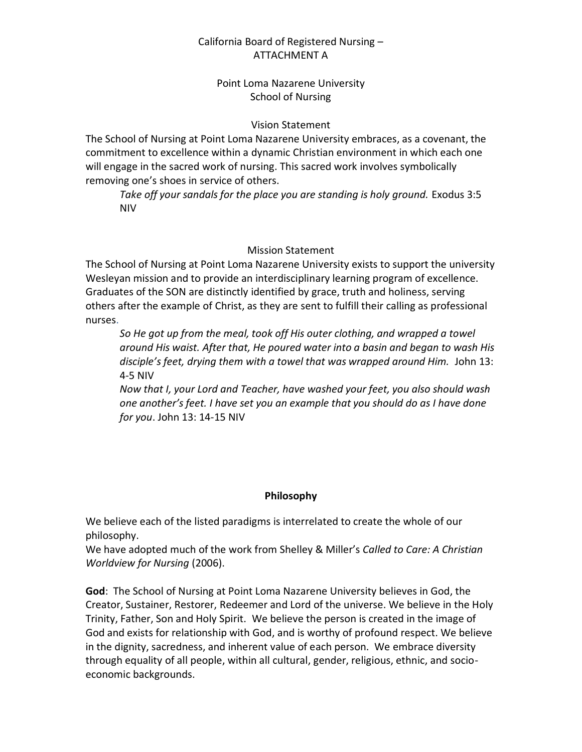# California Board of Registered Nursing – ATTACHMENT A

## Point Loma Nazarene University School of Nursing

### Vision Statement

The School of Nursing at Point Loma Nazarene University embraces, as a covenant, the commitment to excellence within a dynamic Christian environment in which each one will engage in the sacred work of nursing. This sacred work involves symbolically removing one's shoes in service of others.

Take off your sandals for the place you are standing is holy ground. Exodus 3:5 NIV

### Mission Statement

The School of Nursing at Point Loma Nazarene University exists to support the university Wesleyan mission and to provide an interdisciplinary learning program of excellence. Graduates of the SON are distinctly identified by grace, truth and holiness, serving others after the example of Christ, as they are sent to fulfill their calling as professional nurses.

*So He got up from the meal, took off His outer clothing, and wrapped a towel around His waist. After that, He poured water into a basin and began to wash His disciple's feet, drying them with a towel that was wrapped around Him.* John 13: 4-5 NIV

*Now that I, your Lord and Teacher, have washed your feet, you also should wash one another's feet. I have set you an example that you should do as I have done for you*. John 13: 14-15 NIV

#### **Philosophy**

We believe each of the listed paradigms is interrelated to create the whole of our philosophy.

We have adopted much of the work from Shelley & Miller's *Called to Care: A Christian Worldview for Nursing* (2006).

**God**: The School of Nursing at Point Loma Nazarene University believes in God, the Creator, Sustainer, Restorer, Redeemer and Lord of the universe. We believe in the Holy Trinity, Father, Son and Holy Spirit. We believe the person is created in the image of God and exists for relationship with God, and is worthy of profound respect. We believe in the dignity, sacredness, and inherent value of each person. We embrace diversity through equality of all people, within all cultural, gender, religious, ethnic, and socioeconomic backgrounds.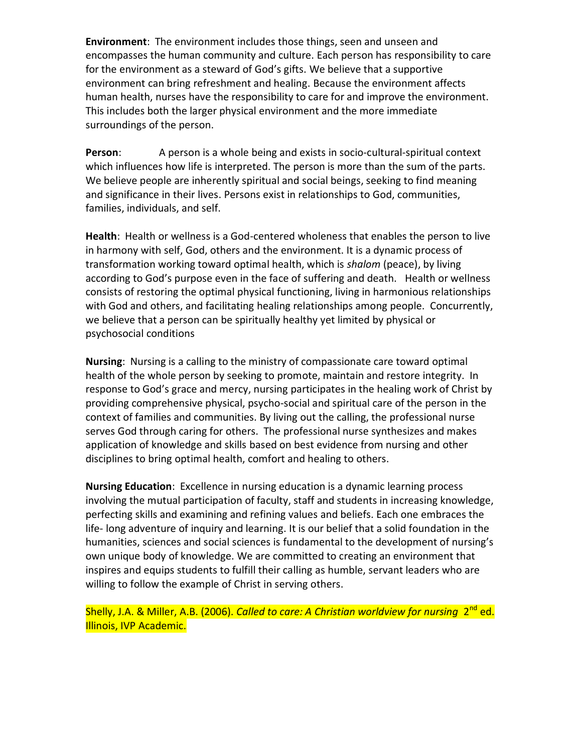**Environment**: The environment includes those things, seen and unseen and encompasses the human community and culture. Each person has responsibility to care for the environment as a steward of God's gifts. We believe that a supportive environment can bring refreshment and healing. Because the environment affects human health, nurses have the responsibility to care for and improve the environment. This includes both the larger physical environment and the more immediate surroundings of the person.

**Person**: A person is a whole being and exists in socio-cultural-spiritual context which influences how life is interpreted. The person is more than the sum of the parts. We believe people are inherently spiritual and social beings, seeking to find meaning and significance in their lives. Persons exist in relationships to God, communities, families, individuals, and self.

**Health**: Health or wellness is a God-centered wholeness that enables the person to live in harmony with self, God, others and the environment. It is a dynamic process of transformation working toward optimal health, which is *shalom* (peace), by living according to God's purpose even in the face of suffering and death. Health or wellness consists of restoring the optimal physical functioning, living in harmonious relationships with God and others, and facilitating healing relationships among people. Concurrently, we believe that a person can be spiritually healthy yet limited by physical or psychosocial conditions

**Nursing**: Nursing is a calling to the ministry of compassionate care toward optimal health of the whole person by seeking to promote, maintain and restore integrity. In response to God's grace and mercy, nursing participates in the healing work of Christ by providing comprehensive physical, psycho-social and spiritual care of the person in the context of families and communities. By living out the calling, the professional nurse serves God through caring for others. The professional nurse synthesizes and makes application of knowledge and skills based on best evidence from nursing and other disciplines to bring optimal health, comfort and healing to others.

**Nursing Education**: Excellence in nursing education is a dynamic learning process involving the mutual participation of faculty, staff and students in increasing knowledge, perfecting skills and examining and refining values and beliefs. Each one embraces the life- long adventure of inquiry and learning. It is our belief that a solid foundation in the humanities, sciences and social sciences is fundamental to the development of nursing's own unique body of knowledge. We are committed to creating an environment that inspires and equips students to fulfill their calling as humble, servant leaders who are willing to follow the example of Christ in serving others.

Shelly, J.A. & Miller, A.B. (2006). *Called to care: A Christian worldview for nursing* 2<sup>nd</sup> ed. Illinois, IVP Academic.